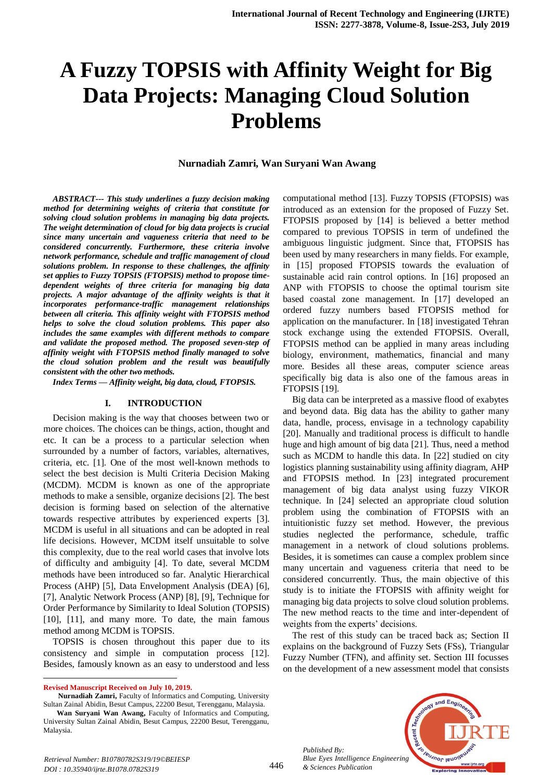# **A Fuzzy TOPSIS with Affinity Weight for Big Data Projects: Managing Cloud Solution Problems**

#### **Nurnadiah Zamri, Wan Suryani Wan Awang**

*ABSTRACT--- This study underlines a fuzzy decision making method for determining weights of criteria that constitute for solving cloud solution problems in managing big data projects. The weight determination of cloud for big data projects is crucial since many uncertain and vagueness criteria that need to be considered concurrently. Furthermore, these criteria involve network performance, schedule and traffic management of cloud solutions problem. In response to these challenges, the affinity set applies to Fuzzy TOPSIS (FTOPSIS) method to propose timedependent weights of three criteria for managing big data projects. A major advantage of the affinity weights is that it incorporates performance-traffic management relationships between all criteria. This affinity weight with FTOPSIS method helps to solve the cloud solution problems. This paper also includes the same examples with different methods to compare and validate the proposed method. The proposed seven-step of affinity weight with FTOPSIS method finally managed to solve the cloud solution problem and the result was beautifully consistent with the other two methods.*

*Index Terms — Affinity weight, big data, cloud, FTOPSIS.*

#### **I. INTRODUCTION**

Decision making is the way that chooses between two or more choices. The choices can be things, action, thought and etc. It can be a process to a particular selection when surrounded by a number of factors, variables, alternatives, criteria, etc. [1]. One of the most well-known methods to select the best decision is Multi Criteria Decision Making (MCDM). MCDM is known as one of the appropriate methods to make a sensible, organize decisions [2]. The best decision is forming based on selection of the alternative towards respective attributes by experienced experts [3]. MCDM is useful in all situations and can be adopted in real life decisions. However, MCDM itself unsuitable to solve this complexity, due to the real world cases that involve lots of difficulty and ambiguity [4]. To date, several MCDM methods have been introduced so far. Analytic Hierarchical Process (AHP) [5], Data Envelopment Analysis (DEA) [6], [7], Analytic Network Process (ANP) [8], [9], Technique for Order Performance by Similarity to Ideal Solution (TOPSIS) [10], [11], and many more. To date, the main famous method among MCDM is TOPSIS.

TOPSIS is chosen throughout this paper due to its consistency and simple in computation process [12]. Besides, famously known as an easy to understood and less

 $\ddot{\phantom{a}}$ 

 **Nurnadiah Zamri,** Faculty of Informatics and Computing, University Sultan Zainal Abidin, Besut Campus, 22200 Besut, Terengganu, Malaysia.

computational method [13]. Fuzzy TOPSIS (FTOPSIS) was introduced as an extension for the proposed of Fuzzy Set. FTOPSIS proposed by [14] is believed a better method compared to previous TOPSIS in term of undefined the ambiguous linguistic judgment. Since that, FTOPSIS has been used by many researchers in many fields. For example, in [15] proposed FTOPSIS towards the evaluation of sustainable acid rain control options. In [16] proposed an ANP with FTOPSIS to choose the optimal tourism site based coastal zone management. In [17] developed an ordered fuzzy numbers based FTOPSIS method for application on the manufacturer. In [18] investigated Tehran stock exchange using the extended FTOPSIS. Overall, FTOPSIS method can be applied in many areas including biology, environment, mathematics, financial and many more. Besides all these areas, computer science areas specifically big data is also one of the famous areas in FTOPSIS [19].

Big data can be interpreted as a massive flood of exabytes and beyond data. Big data has the ability to gather many data, handle, process, envisage in a technology capability [20]. Manually and traditional process is difficult to handle huge and high amount of big data [21]. Thus, need a method such as MCDM to handle this data. In [22] studied on city logistics planning sustainability using affinity diagram, AHP and FTOPSIS method. In [23] integrated procurement management of big data analyst using fuzzy VIKOR technique. In [24] selected an appropriate cloud solution problem using the combination of FTOPSIS with an intuitionistic fuzzy set method. However, the previous studies neglected the performance, schedule, traffic management in a network of cloud solutions problems. Besides, it is sometimes can cause a complex problem since many uncertain and vagueness criteria that need to be considered concurrently. Thus, the main objective of this study is to initiate the FTOPSIS with affinity weight for managing big data projects to solve cloud solution problems. The new method reacts to the time and inter-dependent of weights from the experts' decisions.

The rest of this study can be traced back as; Section II explains on the background of Fuzzy Sets (FSs), Triangular Fuzzy Number (TFN), and affinity set. Section III focusses on the development of a new assessment model that consists



*Published By:*

**Revised Manuscript Received on July 10, 2019.**

**Wan Suryani Wan Awang,** Faculty of Informatics and Computing, University Sultan Zainal Abidin, Besut Campus, 22200 Besut, Terengganu, Malaysia.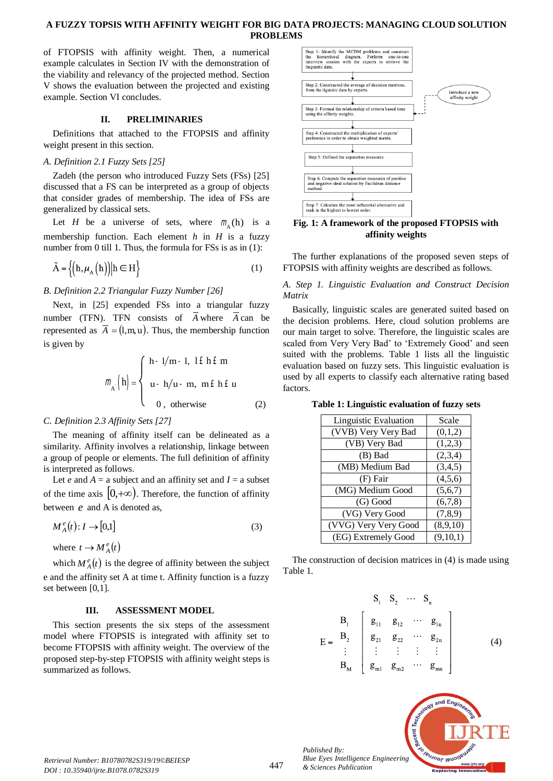# **A FUZZY TOPSIS WITH AFFINITY WEIGHT FOR BIG DATA PROJECTS: MANAGING CLOUD SOLUTION PROBLEMS**

of FTOPSIS with affinity weight. Then, a numerical example calculates in Section IV with the demonstration of the viability and relevancy of the projected method. Section V shows the evaluation between the projected and existing example. Section VI concludes.

## **II. PRELIMINARIES**

Definitions that attached to the FTOPSIS and affinity weight present in this section.

### *A. Definition 2.1 Fuzzy Sets [25]*

Zadeh (the person who introduced Fuzzy Sets (FSs) [25] discussed that a FS can be interpreted as a group of objects that consider grades of membership. The idea of FSs are generalized by classical sets.

Let *H* be a universe of sets, where  $m_A(h)$  is a membership function. Each element *h* in *H* is a fuzzy number from 0 till 1. Thus, the formula for FSs is as in (1):

$$
\tilde{A} = \left\{ \left( h, \mu_A \left( h \right) \right) \middle| h \in H \right\} \tag{1}
$$

## *B. Definition 2.2 Triangular Fuzzy Number [26]*

Next, in [25] expended FSs into a triangular fuzzy number (TFN). TFN consists of A where A can be represented as  $A = (1, m, u)$ . Thus, the membership function is given by

$$
m_{A} \left( h \right) = \begin{cases} h - 1/m - 1, & l \in h \in m \\ u - h/u - m, & m \in h \in u \\ 0, & \text{otherwise} \end{cases}
$$
 (2)

## *C. Definition 2.3 Affinity Sets [27]*

The meaning of affinity itself can be delineated as a similarity. Affinity involves a relationship, linkage between a group of people or elements. The full definition of affinity is interpreted as follows.

Let *e* and  $A = a$  subject and an affinity set and  $I = a$  subset of the time axis  $(0, +\infty)$ . Therefore, the function of affinity between *e* and A is denoted as,

$$
M_A^e(t): I \to [0,1] \tag{3}
$$

where  $t \rightarrow M_A^e(t)$ 

which  $M_A^e(t)$  is the degree of affinity between the subject e and the affinity set A at time t. Affinity function is a fuzzy set between [0,1].

#### **III. ASSESSMENT MODEL**

This section presents the six steps of the assessment model where FTOPSIS is integrated with affinity set to become FTOPSIS with affinity weight. The overview of the proposed step-by-step FTOPSIS with affinity weight steps is summarized as follows.



**Fig. 1: A framework of the proposed FTOPSIS with affinity weights**

The further explanations of the proposed seven steps of FTOPSIS with affinity weights are described as follows.

*A. Step 1. Linguistic Evaluation and Construct Decision Matrix*

Basically, linguistic scales are generated suited based on the decision problems. Here, cloud solution problems are our main target to solve. Therefore, the linguistic scales are scaled from Very Very Bad' to 'Extremely Good' and seen suited with the problems. Table 1 lists all the linguistic evaluation based on fuzzy sets. This linguistic evaluation is used by all experts to classify each alternative rating based factors.

**Table 1: Linguistic evaluation of fuzzy sets**

| Linguistic Evaluation | Scale     |
|-----------------------|-----------|
| (VVB) Very Very Bad   | (0,1,2)   |
| (VB) Very Bad         | (1,2,3)   |
| (B) Bad               | (2,3,4)   |
| (MB) Medium Bad       | (3,4,5)   |
| (F) Fair              | (4,5,6)   |
| (MG) Medium Good      | (5,6,7)   |
| (G) Good              | (6,7,8)   |
| (VG) Very Good        | (7, 8, 9) |
| (VVG) Very Very Good  | (8,9,10)  |
| (EG) Extremely Good   | (9,10,1)  |

The construction of decision matrices in (4) is made using Table 1.

$$
E = \begin{bmatrix} S_1 & S_2 & \cdots & S_n \\ B_1 & g_{11} & g_{12} & \cdots & g_{1n} \\ g_{21} & g_{22} & \cdots & g_{2n} \\ \vdots & \vdots & \vdots & \vdots & \vdots \\ B_M & g_{m1} & g_{m2} & \cdots & g_{mn} \end{bmatrix}
$$
 (4)



*Published By:*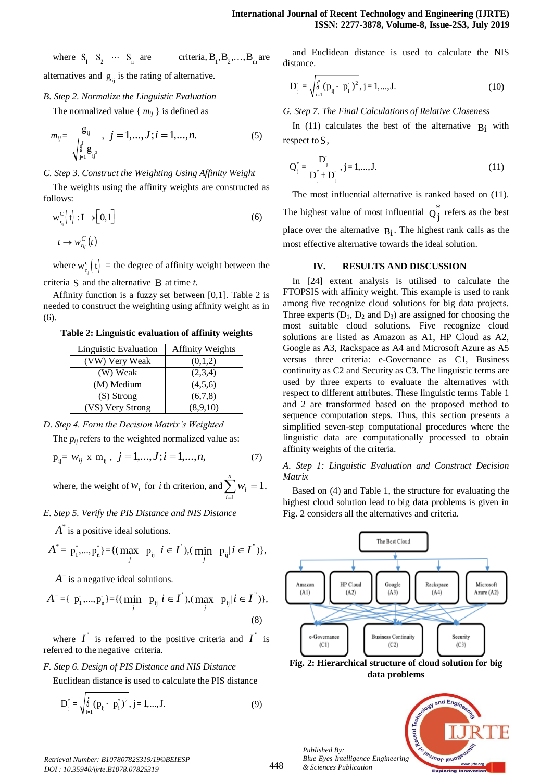where  $S_1$   $S_2$   $\cdots$   $S_n$  are criteria,  $B_1, B_2, \ldots, B_m$  are alternatives and  $g_{ij}$  is the rating of alternative.

*B. Step 2. Normalize the Linguistic Evaluation*

The normalized value  $\{m_{ij}\}\$ is defined as

$$
m_{ij} = \frac{g_{ij}}{\sqrt{\sum_{j=1}^{j} g_{ij}^{2}}}, \ \ j = 1, ..., J; i = 1, ..., n.
$$
 (5)

# *C. Step 3. Construct the Weighting Using Affinity Weight*

The weights using the affinity weights are constructed as follows:

$$
w_{r_{ij}}^C(t): I \to [0,1]
$$
  
\n
$$
t \to w_{r_{ij}}^C(t)
$$
\n(6)

where  $w_{r_{ij}}^e$  $\mathbf{e}_{\text{r}}^{\text{e}}$  (t) = the degree of affinity weight between the

criteria S and the alternative B at time *t*.

Affinity function is a fuzzy set between [0,1]. Table 2 is needed to construct the weighting using affinity weight as in (6).

## **Table 2: Linguistic evaluation of affinity weights**

| Linguistic Evaluation | <b>Affinity Weights</b> |
|-----------------------|-------------------------|
| (VW) Very Weak        | (0,1,2)                 |
| (W) Weak              | (2,3,4)                 |
| (M) Medium            | (4,5,6)                 |
| $(S)$ Strong          | (6,7,8)                 |
| (VS) Very Strong      | (8,9,10)                |

*D. Step 4. Form the Decision Matrix's Weighted*

The  $p_{ij}$  refers to the weighted normalized value as:

$$
p_{ij} = w_{ij} \times m_{ij}, \ j = 1,...,J; i = 1,...,n,
$$
 (7)

where, the weight of  $w_i$  for *i* th criterion, and  $\sum_{i=1}^{n} w_i = 1$ . 1 = *i*

*E. Step 5. Verify the PIS Distance and NIS Distance*

 $A^*$  is a positive ideal solutions.

$$
A^* = p_1^*,..., p_n^* \} = \{ (\max_j \ p_{ij} | i \in I), (\min_j \ p_{ij} | i \in I^*) \},
$$

*A*<sup>-</sup> is a negative ideal solutions.

$$
A^{-} = \{ p_{i}^{-},..., p_{n}^{-}\} = \{ (\min_{j} p_{ij} | i \in I), (\max_{j} p_{ij} | i \in I^{*}) \},
$$
\n(8)

where  $I$  is referred to the positive criteria and  $I$  is referred to the negative criteria.

# *F. Step 6. Design of PIS Distance and NIS Distance*

Euclidean distance is used to calculate the PIS distance

$$
D_j^* = \sqrt{\sum_{i=1}^n (p_{ij} - p_i^*)^2}, j = 1,...,J.
$$
 (9)

and Euclidean distance is used to calculate the NIS distance.

$$
D_j^- = \sqrt{\sum_{i=1}^n (p_{ij} - p_i^-)^2}, j = 1,...,J.
$$
 (10)

*G. Step 7. The Final Calculations of Relative Closeness*

In (11) calculates the best of the alternative  $B_i$  with respect to S,

$$
Q_j^* = \frac{D_j^*}{D_j^* + D_j^*}, j = 1, \dots, J. \tag{11}
$$

The most influential alternative is ranked based on (11). The highest value of most influential  $Q_j$  $Q_i^*$  refers as the best place over the alternative  $B_i$ . The highest rank calls as the most effective alternative towards the ideal solution.

# **IV. RESULTS AND DISCUSSION**

In [24] extent analysis is utilised to calculate the FTOPSIS with affinity weight. This example is used to rank among five recognize cloud solutions for big data projects. Three experts  $(D_1, D_2, and D_3)$  are assigned for choosing the most suitable cloud solutions. Five recognize cloud solutions are listed as Amazon as A1, HP Cloud as A2, Google as A3, Rackspace as A4 and Microsoft Azure as A5 versus three criteria: e-Governance as C1, Business continuity as C2 and Security as C3. The linguistic terms are used by three experts to evaluate the alternatives with respect to different attributes. These linguistic terms Table 1 and 2 are transformed based on the proposed method to sequence computation steps. Thus, this section presents a simplified seven-step computational procedures where the linguistic data are computationally processed to obtain affinity weights of the criteria.

# *A. Step 1: Linguistic Evaluation and Construct Decision Matrix*

Based on (4) and Table 1, the structure for evaluating the highest cloud solution lead to big data problems is given in Fig. 2 considers all the alternatives and criteria.



**Fig. 2: Hierarchical structure of cloud solution for big data problems**



*Retrieval Number: B10780782S319/19©BEIESP DOI : 10.35940/ijrte.B1078.0782S319*

*Published By:*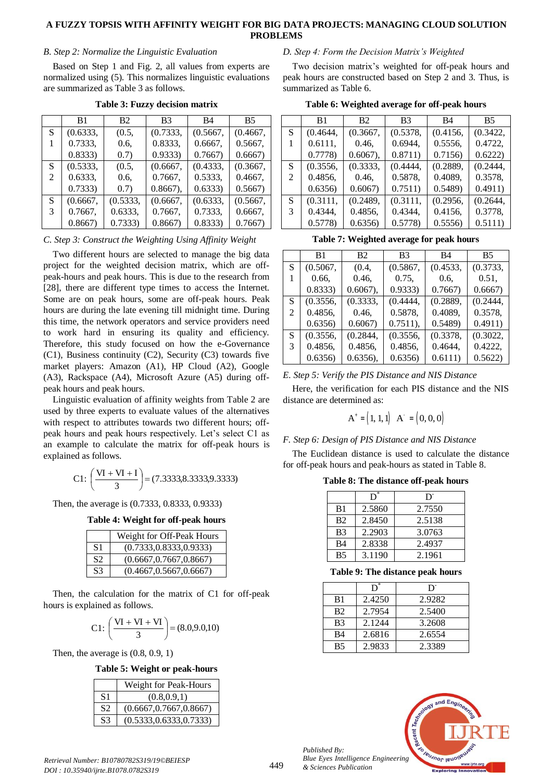## **A FUZZY TOPSIS WITH AFFINITY WEIGHT FOR BIG DATA PROJECTS: MANAGING CLOUD SOLUTION PROBLEMS**

#### *B. Step 2: Normalize the Linguistic Evaluation*

Based on Step 1 and Fig. 2, all values from experts are normalized using (5). This normalizes linguistic evaluations are summarized as Table 3 as follows.

|   | B <sub>1</sub> | <b>B2</b> | B <sub>3</sub> | B4       | <b>B5</b> |
|---|----------------|-----------|----------------|----------|-----------|
| S | (0.6333,       | (0.5,     | (0.7333,       | (0.5667, | (0.4667,  |
|   | 0.7333,        | 0.6.      | 0.8333,        | 0.6667,  | 0.5667,   |
|   | 0.8333         | (0.7)     | 0.9333         | 0.7667   | 0.6667    |
| S | (0.5333,       | (0.5,     | (0.6667,       | (0.4333, | (0.3667,  |
| 2 | 0.6333,        | 0.6.      | 0.7667,        | 0.5333,  | 0.4667,   |
|   | 0.7333         | (0.7)     | $0.8667$ ),    | 0.6333)  | 0.5667    |
| S | (0.6667,       | (0.5333,  | (0.6667,       | (0.6333, | (0.5667,  |
| 3 | 0.7667,        | 0.6333,   | 0.7667,        | 0.7333,  | 0.6667,   |
|   | 0.8667         | 0.7333    | 0.8667         | 0.8333   | 0.7667    |

**Table 3: Fuzzy decision matrix**

# *C. Step 3: Construct the Weighting Using Affinity Weight*

Two different hours are selected to manage the big data project for the weighted decision matrix, which are offpeak-hours and peak hours. This is due to the research from [28], there are different type times to access the Internet. Some are on peak hours, some are off-peak hours. Peak hours are during the late evening till midnight time. During this time, the network operators and service providers need to work hard in ensuring its quality and efficiency. Therefore, this study focused on how the e-Governance (C1), Business continuity (C2), Security (C3) towards five market players: Amazon (A1), HP Cloud (A2), Google (A3), Rackspace (A4), Microsoft Azure (A5) during offpeak hours and peak hours.

Linguistic evaluation of affinity weights from Table 2 are used by three experts to evaluate values of the alternatives with respect to attributes towards two different hours; offpeak hours and peak hours respectively. Let's select C1 as an example to calculate the matrix for off-peak hours is explained as follows.

$$
C1: \left(\frac{VI + VI + I}{3}\right) = (7.3333,8.3333,9.3333)
$$

Then, the average is (0.7333, 0.8333, 0.9333)

**Table 4: Weight for off-peak hours**

|                | Weight for Off-Peak Hours |
|----------------|---------------------------|
| S <sub>1</sub> | (0.7333, 0.8333, 0.9333)  |
| S <sub>2</sub> | (0.6667, 0.7667, 0.8667)  |
| S <sub>3</sub> | (0.4667, 0.5667, 0.6667)  |

Then, the calculation for the matrix of C1 for off-peak hours is explained as follows.

$$
C1: \left(\frac{VI + VI + VI}{3}\right) = (8.0, 9.0, 10)
$$

Then, the average is (0.8, 0.9, 1)

**Table 5: Weight or peak-hours**

|                | Weight for Peak-Hours    |
|----------------|--------------------------|
| S1             | (0.8, 0.9, 1)            |
| S <sub>2</sub> | (0.6667, 0.7667, 0.8667) |
| S <sub>3</sub> | (0.5333, 0.6333, 0.7333) |

# *D. Step 4: Form the Decision Matrix's Weighted*

Two decision matrix's weighted for off-peak hours and peak hours are constructed based on Step 2 and 3. Thus, is summarized as Table 6.

|  |  |  | Table 6: Weighted average for off-peak hours |  |
|--|--|--|----------------------------------------------|--|
|--|--|--|----------------------------------------------|--|

|                | B1       | <b>B2</b>   | B <sub>3</sub> | B4       | <b>B5</b> |
|----------------|----------|-------------|----------------|----------|-----------|
| <sup>S</sup>   | (0.4644, | (0.3667,    | (0.5378,       | (0.4156, | (0.3422,  |
|                | 0.6111,  | 0.46,       | 0.6944.        | 0.5556,  | 0.4722,   |
|                | 0.7778   | $0.6067$ ), | 0.8711)        | 0.7156   | 0.6222    |
| <sub>S</sub>   | (0.3556, | (0.3333,    | (0.4444,       | (0.2889, | (0.2444,  |
| $\mathfrak{D}$ | 0.4856,  | 0.46,       | 0.5878,        | 0.4089,  | 0.3578,   |
|                | 0.6356   | 0.6067      | 0.7511)        | 0.5489   | 0.4911)   |
| <sup>S</sup>   | (0.3111, | (0.2489,    | (0.3111,       | (0.2956, | (0.2644,  |
| 3              | 0.4344,  | 0.4856,     | 0.4344,        | 0.4156,  | 0.3778,   |
|                | 0.5778   | 0.6356      | 0.5778         | 0.5556   | 0.5111)   |
|                |          |             |                |          |           |

| Table 7: Weighted average for peak hours |  |  |
|------------------------------------------|--|--|
|                                          |  |  |

|   | B1       | <b>B2</b>  | B <sub>3</sub> | B4       | <b>B5</b> |
|---|----------|------------|----------------|----------|-----------|
| S | (0.5067, | (0.4, )    | (0.5867,       | (0.4533, | (0.3733,  |
|   | 0.66,    | 0.46,      | 0.75,          | 0.6.     | 0.51,     |
|   | 0.8333   | $0.6067$ , | 0.9333         | 0.7667   | 0.6667    |
| S | (0.3556, | (0.3333,   | (0.4444,       | (0.2889, | (0.2444,  |
| 2 | 0.4856,  | 0.46,      | 0.5878,        | 0.4089,  | 0.3578,   |
|   | 0.6356   | 0.6067     | $0.7511$ ,     | 0.5489   | 0.4911)   |
| S | (0.3556, | (0.2844,   | (0.3556,       | (0.3378, | (0.3022,  |
| 3 | 0.4856,  | 0.4856,    | 0.4856,        | 0.4644,  | 0.4222,   |
|   | 0.6356   | 0.6356,    | 0.6356         | 0.6111)  | 0.5622    |

*E. Step 5: Verify the PIS Distance and NIS Distance*

Here, the verification for each PIS distance and the NIS distance are determined as:

$$
A^+ = (1, 1, 1) \ A^- = (0, 0, 0)
$$

# *F. Step 6: Design of PIS Distance and NIS Distance*

The Euclidean distance is used to calculate the distance for off-peak hours and peak-hours as stated in Table 8.

**Table 8: The distance off-peak hours**

|                | $\overline{D}^*$ | D.     |
|----------------|------------------|--------|
| B <sub>1</sub> | 2.5860           | 2.7550 |
| B <sub>2</sub> | 2.8450           | 2.5138 |
| B <sub>3</sub> | 2.2903           | 3.0763 |
| <b>B4</b>      | 2.8338           | 2.4937 |
| B <sub>5</sub> | 3.1190           | 2.1961 |

**Table 9: The distance peak hours**

|                       | $\overline{D}^*$ | D      |
|-----------------------|------------------|--------|
| B <sub>1</sub>        | 2.4250           | 2.9282 |
| <b>B</b> <sub>2</sub> | 2.7954           | 2.5400 |
| B <sub>3</sub>        | 2.1244           | 3.2608 |
| B4                    | 2.6816           | 2.6554 |
| B5                    | 2.9833           | 2.3389 |



*Published By:*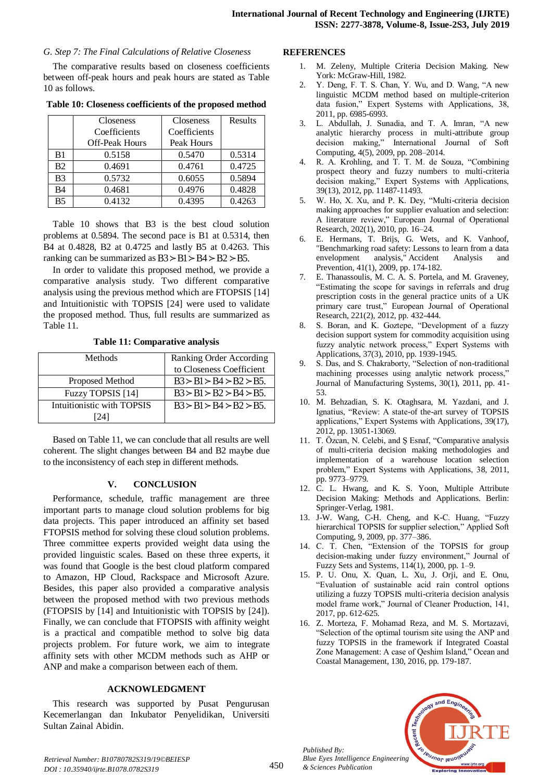### *G. Step 7: The Final Calculations of Relative Closeness*

The comparative results based on closeness coefficients between off-peak hours and peak hours are stated as Table 10 as follows.

|                | <b>Closeness</b>      | <b>Closeness</b> | Results |
|----------------|-----------------------|------------------|---------|
|                | Coefficients          | Coefficients     |         |
|                | <b>Off-Peak Hours</b> | Peak Hours       |         |
| B1             | 0.5158                | 0.5470           | 0.5314  |
| <b>B2</b>      | 0.4691                | 0.4761           | 0.4725  |
| B <sub>3</sub> | 0.5732                | 0.6055           | 0.5894  |
| B4             | 0.4681                | 0.4976           | 0.4828  |
| B5             | 0.4132                | 0.4395           | 0.4263  |

**Table 10: Closeness coefficients of the proposed method**

Table 10 shows that B3 is the best cloud solution problems at 0.5894. The second pace is B1 at 0.5314, then B4 at 0.4828, B2 at 0.4725 and lastly B5 at 0.4263. This ranking can be summarized as  $B3 > B1 > B4 > B2 > B5$ .

In order to validate this proposed method, we provide a comparative analysis study. Two different comparative analysis using the previous method which are FTOPSIS [14] and Intuitionistic with TOPSIS [24] were used to validate the proposed method. Thus, full results are summarized as Table 11.

**Table 11: Comparative analysis**

| <b>Methods</b>             | Ranking Order According    |
|----------------------------|----------------------------|
|                            | to Closeness Coefficient   |
| Proposed Method            | $B3 > B1 > B4 > B2 > B5$ . |
| Fuzzy TOPSIS [14]          | $B3 > B1 > B2 > B4 > B5$ . |
| Intuitionistic with TOPSIS | $B3 > B1 > B4 > B2 > B5$ . |
| 24                         |                            |

Based on Table 11, we can conclude that all results are well coherent. The slight changes between B4 and B2 maybe due to the inconsistency of each step in different methods.

## **V. CONCLUSION**

Performance, schedule, traffic management are three important parts to manage cloud solution problems for big data projects. This paper introduced an affinity set based FTOPSIS method for solving these cloud solution problems. Three committee experts provided weight data using the provided linguistic scales. Based on these three experts, it was found that Google is the best cloud platform compared to Amazon, HP Cloud, Rackspace and Microsoft Azure. Besides, this paper also provided a comparative analysis between the proposed method with two previous methods (FTOPSIS by [14] and Intuitionistic with TOPSIS by [24]). Finally, we can conclude that FTOPSIS with affinity weight is a practical and compatible method to solve big data projects problem. For future work, we aim to integrate affinity sets with other MCDM methods such as AHP or ANP and make a comparison between each of them.

#### **ACKNOWLEDGMENT**

This research was supported by Pusat Pengurusan Kecemerlangan dan Inkubator Penyelidikan, Universiti Sultan Zainal Abidin.

#### **REFERENCES**

- 1. M. Zeleny, Multiple Criteria Decision Making. New York: McGraw-Hill, 1982.
- 2. Y. Deng, F. T. S. Chan, Y. Wu, and D. Wang, "A new linguistic MCDM method based on multiple-criterion data fusion," Expert Systems with Applications, 38, 2011, pp. 6985-6993.
- 3. L. Abdullah, J. Sunadia, and T. A. Imran, "A new analytic hierarchy process in multi-attribute group decision making," International Journal of Soft Computing, 4(5), 2009, pp. 208–2014.
- 4. R. A. Krohling, and T. T. M. de Souza, "Combining prospect theory and fuzzy numbers to multi-criteria decision making," Expert Systems with Applications, 39(13), 2012, pp. 11487-11493.
- 5. W. Ho, X. Xu, and P. K. Dey, "Multi-criteria decision making approaches for supplier evaluation and selection: A literature review," European Journal of Operational Research, 202(1), 2010, pp. 16–24.
- 6. E. Hermans, T. Brijs, G. Wets, and K. Vanhoof, "Benchmarking road safety: Lessons to learn from a data envelopment analysis," Accident Analysis and Prevention, 41(1), 2009, pp. 174-182.
- 7. E. Thanassoulis, M. C. A. S. Portela, and M. Graveney, "Estimating the scope for savings in referrals and drug prescription costs in the general practice units of a UK primary care trust," European Journal of Operational Research, 221(2), 2012, pp. 432-444.
- 8. S. Boran, and K. Goztepe, "Development of a fuzzy decision support system for commodity acquisition using fuzzy analytic network process," Expert Systems with Applications, 37(3), 2010, pp. 1939-1945.
- 9. S. Das, and S. Chakraborty, "Selection of non-traditional machining processes using analytic network process," Journal of Manufacturing Systems, 30(1), 2011, pp. 41- 53.
- 10. M. Behzadian, S. K. Otaghsara, M. Yazdani, and J. Ignatius, "Review: A state-of the-art survey of TOPSIS applications," Expert Systems with Applications, 39(17), 2012, pp. 13051-13069.
- 11. T. Özcan, N. Celebi, and Ş Esnaf, "Comparative analysis of multi-criteria decision making methodologies and implementation of a warehouse location selection problem," Expert Systems with Applications, 38, 2011, pp. 9773–9779.
- 12. C. L. Hwang, and K. S. Yoon, Multiple Attribute Decision Making: Methods and Applications. Berlin: Springer-Verlag, 1981.
- 13. J-W. Wang, C-H. Cheng, and K-C. Huang, "Fuzzy hierarchical TOPSIS for supplier selection," Applied Soft Computing, 9, 2009, pp. 377–386.
- 14. C. T. Chen, "Extension of the TOPSIS for group decision-making under fuzzy environment," Journal of Fuzzy Sets and Systems, 114(1), 2000, pp. 1–9.
- 15. P. U. Onu, X. Quan, L. Xu, J. Orji, and E. Onu, "Evaluation of sustainable acid rain control options utilizing a fuzzy TOPSIS multi-criteria decision analysis model frame work," Journal of Cleaner Production, 141, 2017, pp. 612-625.
- 16. Z. Morteza, F. Mohamad Reza, and M. S. Mortazavi, "Selection of the optimal tourism site using the ANP and fuzzy TOPSIS in the framework if Integrated Coastal Zone Management: A case of Qeshim Island," Ocean and Coastal Management, 130, 2016, pp. 179-187.



*Retrieval Number: B10780782S319/19©BEIESP DOI : 10.35940/ijrte.B1078.0782S319*

*Published By:*